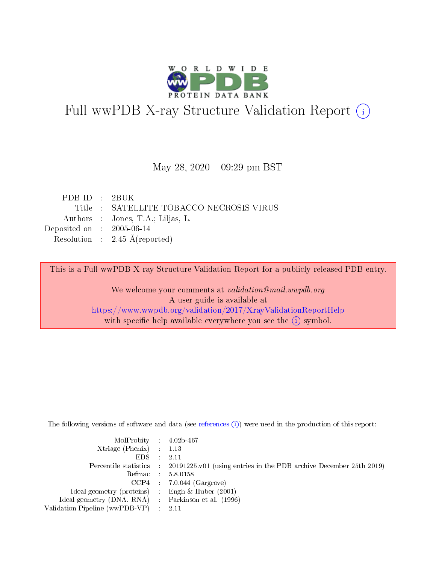

# Full wwPDB X-ray Structure Validation Report (i)

#### May 28, 2020 - 09:29 pm BST

| PDB ID $\cdot$ 2BUK                  |                                          |
|--------------------------------------|------------------------------------------|
|                                      | Title : SATELLITE TOBACCO NECROSIS VIRUS |
|                                      | Authors : Jones, T.A.; Liljas, L.        |
| Deposited on $\therefore$ 2005-06-14 |                                          |
|                                      | Resolution : $2.45 \text{ Å}$ (reported) |
|                                      |                                          |

This is a Full wwPDB X-ray Structure Validation Report for a publicly released PDB entry.

We welcome your comments at validation@mail.wwpdb.org A user guide is available at <https://www.wwpdb.org/validation/2017/XrayValidationReportHelp> with specific help available everywhere you see the  $(i)$  symbol.

The following versions of software and data (see [references](https://www.wwpdb.org/validation/2017/XrayValidationReportHelp#references)  $(i)$ ) were used in the production of this report:

| $MolProbability$ 4.02b-467                          |                                                                                            |
|-----------------------------------------------------|--------------------------------------------------------------------------------------------|
| Xtriage (Phenix) $: 1.13$                           |                                                                                            |
| EDS -                                               | -2.11                                                                                      |
|                                                     | Percentile statistics : 20191225.v01 (using entries in the PDB archive December 25th 2019) |
|                                                     | Refmac 58.0158                                                                             |
|                                                     | $CCP4$ : 7.0.044 (Gargrove)                                                                |
| Ideal geometry (proteins) : Engh $\&$ Huber (2001)  |                                                                                            |
| Ideal geometry (DNA, RNA) : Parkinson et al. (1996) |                                                                                            |
| Validation Pipeline (wwPDB-VP) :                    | -2.11                                                                                      |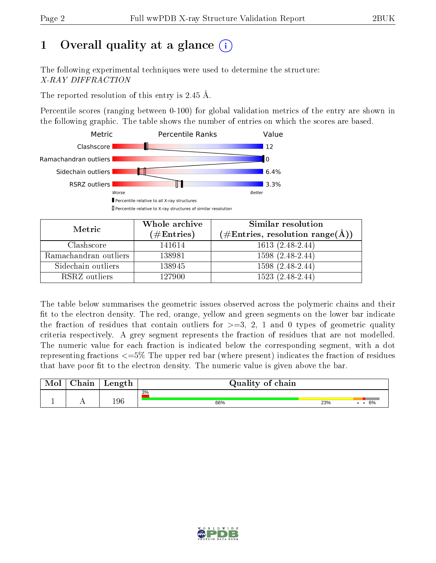# 1 [O](https://www.wwpdb.org/validation/2017/XrayValidationReportHelp#overall_quality)verall quality at a glance  $(i)$

The following experimental techniques were used to determine the structure: X-RAY DIFFRACTION

The reported resolution of this entry is 2.45 Å.

Percentile scores (ranging between 0-100) for global validation metrics of the entry are shown in the following graphic. The table shows the number of entries on which the scores are based.



| Metric                | Whole archive<br>$(\#\text{Entries})$ | Similar resolution<br>$(\#\text{Entries}, \text{resolution range}(\text{\AA}))$ |
|-----------------------|---------------------------------------|---------------------------------------------------------------------------------|
| Clashscore            | 141614                                | $1613(2.48-2.44)$                                                               |
| Ramachandran outliers | 138981                                | $1598(2.48-2.44)$                                                               |
| Sidechain outliers    | 138945                                | $1598(2.48-2.44)$                                                               |
| RSRZ outliers         | 127900                                | 1523 (2.48-2.44)                                                                |

The table below summarises the geometric issues observed across the polymeric chains and their fit to the electron density. The red, orange, yellow and green segments on the lower bar indicate the fraction of residues that contain outliers for  $\geq=3$ , 2, 1 and 0 types of geometric quality criteria respectively. A grey segment represents the fraction of residues that are not modelled. The numeric value for each fraction is indicated below the corresponding segment, with a dot representing fractions  $\epsilon = 5\%$  The upper red bar (where present) indicates the fraction of residues that have poor fit to the electron density. The numeric value is given above the bar.

| $\cap$ hain | Length | Quality of chain |     |    |  |  |  |
|-------------|--------|------------------|-----|----|--|--|--|
|             | 196    | 3%<br>66%        | 23% | 6% |  |  |  |

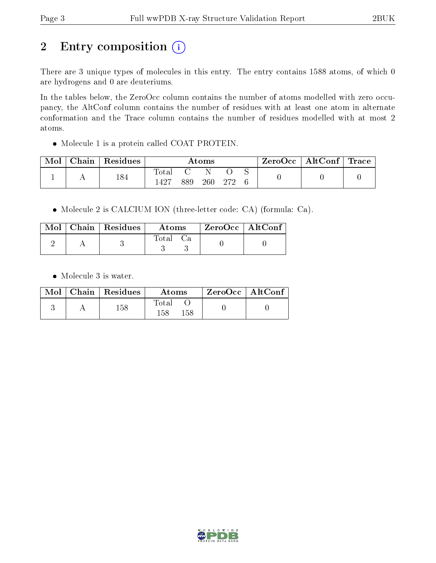# 2 Entry composition (i)

There are 3 unique types of molecules in this entry. The entry contains 1588 atoms, of which 0 are hydrogens and 0 are deuteriums.

In the tables below, the ZeroOcc column contains the number of atoms modelled with zero occupancy, the AltConf column contains the number of residues with at least one atom in alternate conformation and the Trace column contains the number of residues modelled with at most 2 atoms.

Molecule 1 is a protein called COAT PROTEIN.

| Mol | $\cap$ hain | Residues | Atoms        |     |     | ZeroOcc | $\vert$ AltConf $\vert$ | $\perp$ Trace |  |  |
|-----|-------------|----------|--------------|-----|-----|---------|-------------------------|---------------|--|--|
|     |             | 184      | lota<br>1427 | 889 | 260 | -979    |                         |               |  |  |

Molecule 2 is CALCIUM ION (three-letter code: CA) (formula: Ca).

|  | $\text{Mol}$   Chain   Residues | Atoms    | ZeroOcc   AltConf |  |
|--|---------------------------------|----------|-------------------|--|
|  |                                 | Total Ca |                   |  |

• Molecule 3 is water.

|  | $Mol$   Chain   Residues | Atoms               | $ZeroOcc$   AltConf |
|--|--------------------------|---------------------|---------------------|
|  | $158\,$                  | Total<br>158<br>158 |                     |

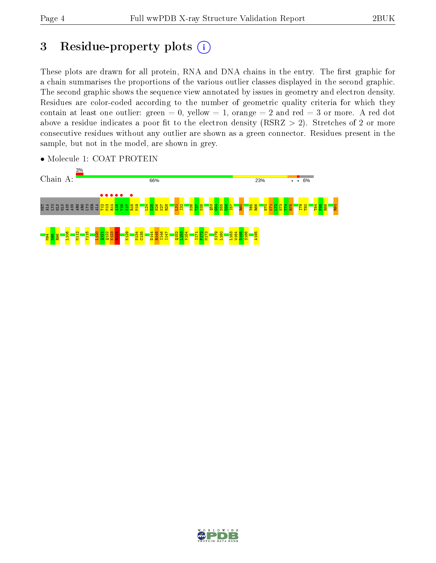## 3 Residue-property plots  $(i)$

These plots are drawn for all protein, RNA and DNA chains in the entry. The first graphic for a chain summarises the proportions of the various outlier classes displayed in the second graphic. The second graphic shows the sequence view annotated by issues in geometry and electron density. Residues are color-coded according to the number of geometric quality criteria for which they contain at least one outlier: green  $= 0$ , yellow  $= 1$ , orange  $= 2$  and red  $= 3$  or more. A red dot above a residue indicates a poor fit to the electron density (RSRZ  $> 2$ ). Stretches of 2 or more consecutive residues without any outlier are shown as a green connector. Residues present in the sample, but not in the model, are shown in grey.



• Molecule 1: COAT PROTEIN

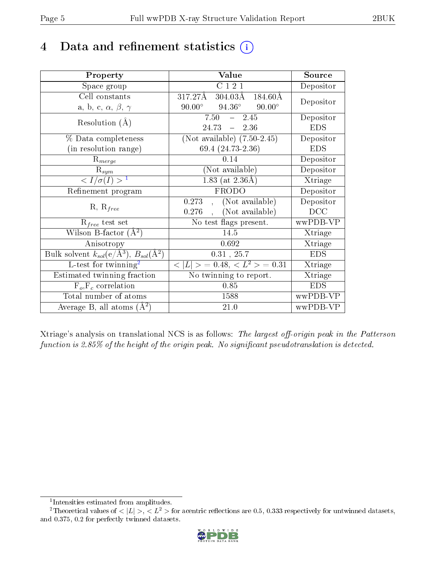# 4 Data and refinement statistics  $(i)$

| Property                                                         | Value                                               | Source     |
|------------------------------------------------------------------|-----------------------------------------------------|------------|
| Space group                                                      | $\overline{C}$ 1 2 1                                | Depositor  |
| Cell constants                                                   | 317.27Å<br>$304.03\text{\AA}$<br>$184.60\text{\AA}$ | Depositor  |
| a, b, c, $\alpha$ , $\beta$ , $\gamma$                           | $94.36^\circ$<br>$90.00^{\circ}$<br>$90.00^\circ$   |            |
| Resolution $(A)$                                                 | 7.50<br>2.45<br>$\equiv$                            | Depositor  |
|                                                                  | 24.73<br>$-2.36$                                    | <b>EDS</b> |
| % Data completeness                                              | (Not available) $(7.50-2.45)$                       | Depositor  |
| (in resolution range)                                            | 69.4 (24.73-2.36)                                   | <b>EDS</b> |
| $R_{merge}$                                                      | 0.14                                                | Depositor  |
| $\mathrm{R}_{sym}$                                               | (Not available)                                     | Depositor  |
| $\sqrt{I/\sigma}(I) > 1$                                         | $1.83$ (at 2.36Å)                                   | Xtriage    |
| Refinement program                                               | FRODO                                               | Depositor  |
| $R, R_{free}$                                                    | (Not available)<br>0.273                            | Depositor  |
|                                                                  | (Not available)<br>0.276                            | DCC        |
| $\mathcal{R}_{free}$ test set                                    | No test flags present.                              | wwPDB-VP   |
| Wilson B-factor $(A^2)$                                          | 14.5                                                | Xtriage    |
| Anisotropy                                                       | 0.692                                               | Xtriage    |
| Bulk solvent $k_{sol}(e/\mathrm{A}^3)$ , $B_{sol}(\mathrm{A}^2)$ | $0.31$ , $25.7$                                     | <b>EDS</b> |
| L-test for twinning <sup>2</sup>                                 | $< L >$ = 0.48, $< L2$ > = 0.31                     | Xtriage    |
| Estimated twinning fraction                                      | No twinning to report.                              | Xtriage    |
| $F_o, F_c$ correlation                                           | 0.85                                                | <b>EDS</b> |
| Total number of atoms                                            | 1588                                                | wwPDB-VP   |
| Average B, all atoms $(A^2)$                                     | 21.0                                                | wwPDB-VP   |

Xtriage's analysis on translational NCS is as follows: The largest off-origin peak in the Patterson function is  $2.85\%$  of the height of the origin peak. No significant pseudotranslation is detected.

<sup>&</sup>lt;sup>2</sup>Theoretical values of  $\langle |L| \rangle$ ,  $\langle L^2 \rangle$  for acentric reflections are 0.5, 0.333 respectively for untwinned datasets, and 0.375, 0.2 for perfectly twinned datasets.



<span id="page-4-1"></span><span id="page-4-0"></span><sup>1</sup> Intensities estimated from amplitudes.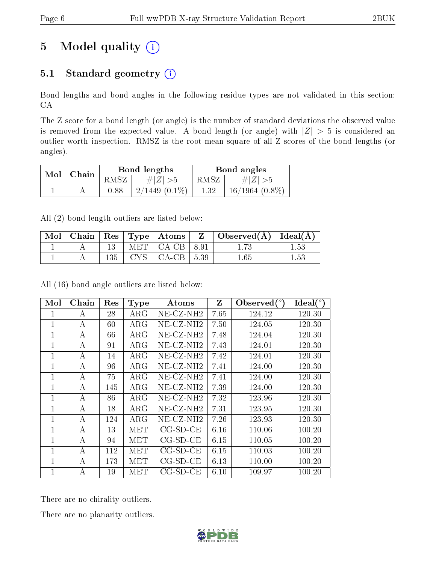# 5 Model quality  $(i)$

## 5.1 Standard geometry  $(i)$

Bond lengths and bond angles in the following residue types are not validated in this section: CA

The Z score for a bond length (or angle) is the number of standard deviations the observed value is removed from the expected value. A bond length (or angle) with  $|Z| > 5$  is considered an outlier worth inspection. RMSZ is the root-mean-square of all Z scores of the bond lengths (or angles).

| Mol |       |      | Bond lengths       | Bond angles |                     |  |
|-----|-------|------|--------------------|-------------|---------------------|--|
|     | Chain | RMSZ | $\# Z  > 5$        | RMSZ        | # $ Z  > 5$         |  |
|     |       | 0.88 | $2/1449$ $(0.1\%)$ | $1.32\,$    | $16/1964$ $(0.8\%)$ |  |

All (2) bond length outliers are listed below:

| Mol |     | Chain   Res   Type   Atoms | $\mathbf{Z}$ | $\vert$ Observed( $\AA$ ) $\vert$ Ideal( $\AA$ ) |  |
|-----|-----|----------------------------|--------------|--------------------------------------------------|--|
|     |     | $MET$ $CA-CB$ $8.91$       |              |                                                  |  |
|     | 135 | $\vert$ CA-CB $\vert$      | $\vert 5.39$ | $1.65\,$                                         |  |

All (16) bond angle outliers are listed below:

| Mol          | Chain | Res | <b>Type</b> | <b>Atoms</b>             | Z    | Observed $(°)$ | Ideal $(°)$ |
|--------------|-------|-----|-------------|--------------------------|------|----------------|-------------|
| $\mathbf{1}$ | А     | 28  | $\rm{ARG}$  | $NE$ -CZ-NH <sub>2</sub> | 7.65 | 124.12         | 120.30      |
| 1            | А     | 60  | $\rm{ARG}$  | $NE-CZ-NH2$              | 7.50 | 124.05         | 120.30      |
| 1            | A     | 66  | $\rm{ARG}$  | $NE- CZ-NH2$             | 7.48 | 124.04         | 120.30      |
| $\mathbf{1}$ | A     | 91  | $\rm{ARG}$  | $NE- CZ-NH2$             | 7.43 | 124.01         | 120.30      |
| $\mathbf{1}$ | A     | 14  | $\rm{ARG}$  | $NE- CZ-NH2$             | 7.42 | 124.01         | 120.30      |
| 1            | А     | 96  | $\rm{ARG}$  | $NE-CZ-NH2$              | 7.41 | 124.00         | 120.30      |
| $\mathbf 1$  | А     | 75  | $\rm{ARG}$  | $NE-CZ-NH2$              | 7.41 | 124.00         | 120.30      |
| $\mathbf{1}$ | А     | 145 | $\rm{ARG}$  | $NE$ -CZ-NH <sub>2</sub> | 7.39 | 124.00         | 120.30      |
| $\mathbf{1}$ | A     | 86  | $\rm{ARG}$  | $NE-CZ-NH2$              | 7.32 | 123.96         | 120.30      |
| $\mathbf{1}$ | А     | 18  | $\rm{ARG}$  | $NE-CZ-NH2$              | 7.31 | 123.95         | 120.30      |
| $\mathbf{1}$ | А     | 124 | $\rm{ARG}$  | $NE-CZ-NH2$              | 7.26 | 123.93         | 120.30      |
| $\mathbf{1}$ | A     | 13  | MET         | $CG-SD-CE$               | 6.16 | 110.06         | 100.20      |
| $\mathbf{1}$ | А     | 94  | MET         | $CG-SD-CE$               | 6.15 | 110.05         | 100.20      |
| 1            | А     | 112 | MET         | $CG-SD-CE$               | 6.15 | 110.03         | 100.20      |
| $\mathbf{1}$ | А     | 173 | MET         | $CG-SD-CE$               | 6.13 | 110.00         | 100.20      |
| $\mathbf{1}$ | А     | 19  | MET         | $CG-SD-CE$               | 6.10 | 109.97         | 100.20      |

There are no chirality outliers.

There are no planarity outliers.

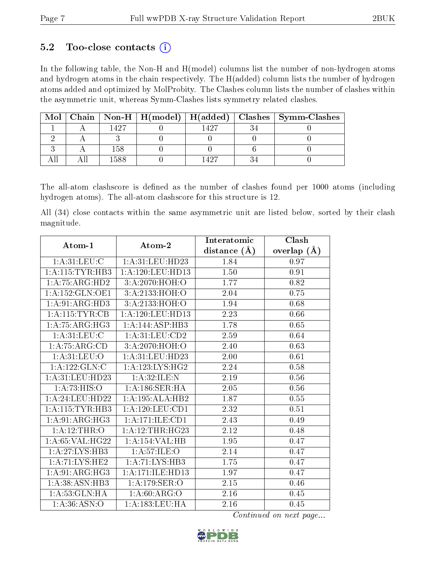### 5.2 Too-close contacts  $(i)$

In the following table, the Non-H and H(model) columns list the number of non-hydrogen atoms and hydrogen atoms in the chain respectively. The H(added) column lists the number of hydrogen atoms added and optimized by MolProbity. The Clashes column lists the number of clashes within the asymmetric unit, whereas Symm-Clashes lists symmetry related clashes.

| Mol |      |  | Chain   Non-H   H(model)   H(added)   Clashes   Symm-Clashes |
|-----|------|--|--------------------------------------------------------------|
|     | 497ء |  |                                                              |
|     |      |  |                                                              |
|     | 158  |  |                                                              |
|     | 1588 |  |                                                              |

The all-atom clashscore is defined as the number of clashes found per 1000 atoms (including hydrogen atoms). The all-atom clashscore for this structure is 12.

All (34) close contacts within the same asymmetric unit are listed below, sorted by their clash magnitude.

|                     | Atom-2                        | Interatomic       | Clash         |  |
|---------------------|-------------------------------|-------------------|---------------|--|
| Atom-1              |                               | distance $(\AA)$  | overlap $(A)$ |  |
| 1: A:31: LEU: C     | 1:A:31:LEU:HD23               | 1.84              | 0.97          |  |
| 1:A:115:TYR:HB3     | 1: A: 120: LEU: HD13          | $\overline{1.50}$ | 0.91          |  |
| 1: A:75: ARG:HD2    | 3:A:2070:HOH:O                | 1.77              | 0.82          |  |
| 1: A: 152: GLN: OE1 | 3:A:2133:HOH:O                | 2.04              | 0.75          |  |
| 1: A:91: ARG:HD3    | 3: A: 2133: HOH:O             | 1.94              | 0.68          |  |
| 1: A: 115: TYR: CB  | 1: A: 120: LEU: HD13          | 2.23              | 0.66          |  |
| 1: A:75: ARG: HG3   | 1:A:144:ASP:HB3               | 1.78              | 0.65          |  |
| 1: A:31: LEU: C     | 1: A:31: LEU: CD2             | 2.59              | 0.64          |  |
| 1:A:75:ARG:CD       | 3:A:2070:HOH:O                | 2.40              | 0.63          |  |
| 1: A:31: LEU:O      | 1: A:31: LEU:HD23             | 2.00              | 0.61          |  |
| 1:A:122:GLN:C       | 1: A: 123: LYS: HG2           | 2.24              | 0.58          |  |
| 1: A:31: LEU: HD23  | 1:A:32:ILE:N                  | 2.19              | 0.56          |  |
| 1:A:73:HIS:O        | 1: A:186: SER: HA             | 2.05              | $0.56\,$      |  |
| 1: A:24:LEU:HD22    | 1:A:195:ALA:HB2               | 1.87              | $0.55\,$      |  |
| 1:A:115:TYR:HB3     | 1: A:120: LEU: CD1            | 2.32              | 0.51          |  |
| 1: A:91: ARG: HG3   | 1:A:171:ILE:CD1               | 2.43              | 0.49          |  |
| 1:A:12:THR:O        | 1: A:12:THR:HG23              | 2.12              | 0.48          |  |
| 1:A:65:VAL:HG22     | 1:A:154:VAL:HB                | 1.95              | 0.47          |  |
| 1: A:27: LYS:HB3    | 1: A:57: ILE: O               | 2.14              | 0.47          |  |
| 1:A:71:LYS:HE2      | 1:A:71:LYS:HB3                | 1.75              | 0.47          |  |
| 1: A:91: ARG:HG3    | $1:A:\overline{171:ILE:HD13}$ | 1.97              | 0.47          |  |
| 1: A:38: ASN:HB3    | 1:A:179:SER:O                 | 2.15              | 0.46          |  |
| 1: A:53: GLN: HA    | 1: A:60: ARG:O                | 2.16              | 0.45          |  |
| 1: A:36: ASN:O      | 1:A:183:LEU:HA                | 2.16              | 0.45          |  |

Continued on next page...

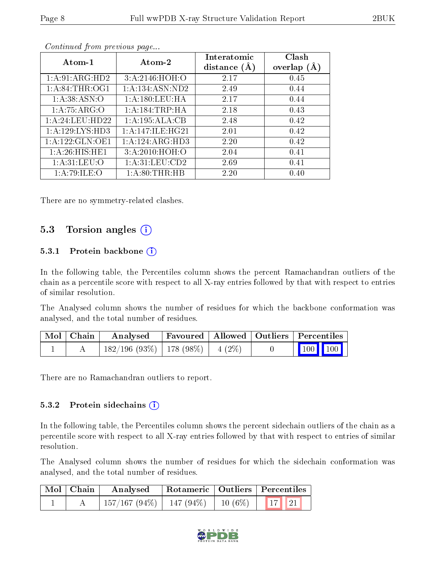|--|

| Atom-1            | $\boldsymbol{\mathrm{Atom}\text{-}2}$ | Interatomic<br>distance $(A)$ | Clash<br>overlap $(A)$ |  |
|-------------------|---------------------------------------|-------------------------------|------------------------|--|
| 1:A:91:ARG:HD2    | 3:A:2146:HOH:O                        | 2.17                          | 0.45                   |  |
| 1: A:84:THR:OG1   | 1:A:134:ASN:ND2                       | 2.49                          | 0.44                   |  |
| 1: A:38: ASN:O    | 1: A:180:LEU:HA                       | 2.17                          | 0.44                   |  |
| 1: A:75: ARG:O    | 1: A: 184: TRP: HA                    | 2.18                          | 0.43                   |  |
| 1: A:24:LEU:HD22  | 1:A:195:ALA:CB                        | 2.48                          | 0.42                   |  |
| 1:A:129:LYS:HD3   | 1: A:147: ILE: HG21                   | 2.01                          | 0.42                   |  |
| 1:A:122:GLN:OE1   | 1:A:124:ARG:HD3                       | 2.20                          | 0.42                   |  |
| 1: A:26: HIS: HE1 | 3: A:2010:HOH:O                       | 2.04                          | 0.41                   |  |
| 1: A:31: LEU:O    | 1: A:31:LEU:CD2                       | 2.69                          | 0.41                   |  |
| 1: A:79: ILE: O   | 1: A:80:THR:HB                        | 2.20                          | 0.40                   |  |

Continued from previous page...

There are no symmetry-related clashes.

### 5.3 Torsion angles (i)

#### 5.3.1 Protein backbone  $(i)$

In the following table, the Percentiles column shows the percent Ramachandran outliers of the chain as a percentile score with respect to all X-ray entries followed by that with respect to entries of similar resolution.

The Analysed column shows the number of residues for which the backbone conformation was analysed, and the total number of residues.

| Mol   Chain | Analysed                                |  | Favoured   Allowed   Outliers   Percentiles |  |
|-------------|-----------------------------------------|--|---------------------------------------------|--|
|             | $182/196$ (93\%)   178 (98\%)   4 (2\%) |  | $\vert$ 100 100 $\vert$                     |  |

There are no Ramachandran outliers to report.

#### 5.3.2 Protein sidechains (i)

In the following table, the Percentiles column shows the percent sidechain outliers of the chain as a percentile score with respect to all X-ray entries followed by that with respect to entries of similar resolution.

The Analysed column shows the number of residues for which the sidechain conformation was analysed, and the total number of residues.

| Mol   Chain | Analysed                                             | Rotameric   Outliers   Percentiles |  |  |  |
|-------------|------------------------------------------------------|------------------------------------|--|--|--|
|             | $\mid$ 157/167 (94%)   147 (94%)   10 (6%)   17   21 |                                    |  |  |  |

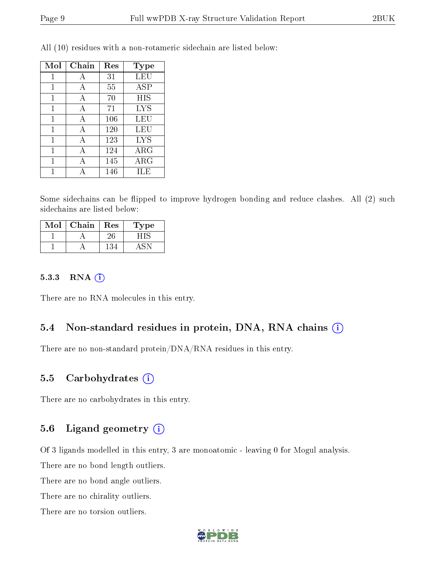| Mol          | Chain | Res | Type       |
|--------------|-------|-----|------------|
| 1            | А     | 31  | LEU        |
| $\mathbf{1}$ | А     | 55  | <b>ASP</b> |
| 1            | A     | 70  | HIS        |
| 1            | A     | 71  | <b>LYS</b> |
| 1            | A     | 106 | LEU        |
| 1            | А     | 120 | LEU        |
| 1            | A     | 123 | <b>LYS</b> |
| 1            | А     | 124 | $\rm{ARG}$ |
| 1            |       | 145 | $\rm{ARG}$ |
|              |       | 146 | ILE        |

All (10) residues with a non-rotameric sidechain are listed below:

Some sidechains can be flipped to improve hydrogen bonding and reduce clashes. All (2) such sidechains are listed below:

| Mol | Chain | Res | <b>Type</b> |
|-----|-------|-----|-------------|
|     |       |     |             |
|     |       |     |             |

#### 5.3.3 RNA [O](https://www.wwpdb.org/validation/2017/XrayValidationReportHelp#rna)i

There are no RNA molecules in this entry.

### 5.4 Non-standard residues in protein, DNA, RNA chains (i)

There are no non-standard protein/DNA/RNA residues in this entry.

#### 5.5 Carbohydrates  $(i)$

There are no carbohydrates in this entry.

### 5.6 Ligand geometry  $(i)$

Of 3 ligands modelled in this entry, 3 are monoatomic - leaving 0 for Mogul analysis.

There are no bond length outliers.

There are no bond angle outliers.

There are no chirality outliers.

There are no torsion outliers.

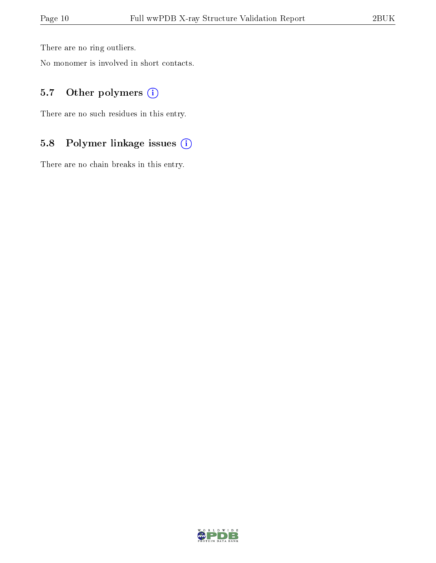There are no ring outliers.

No monomer is involved in short contacts.

### 5.7 [O](https://www.wwpdb.org/validation/2017/XrayValidationReportHelp#nonstandard_residues_and_ligands)ther polymers (i)

There are no such residues in this entry.

## 5.8 Polymer linkage issues (i)

There are no chain breaks in this entry.

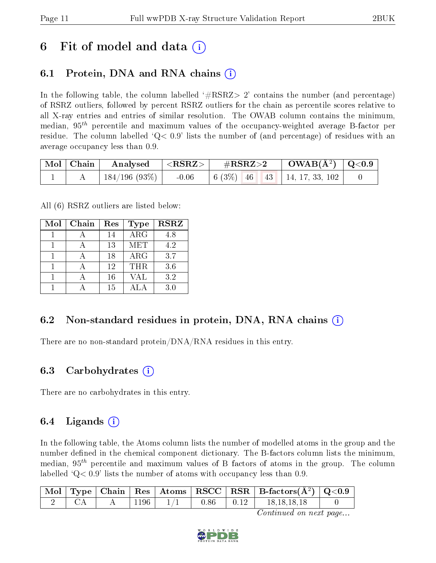## 6 Fit of model and data  $\left( \cdot \right)$

### 6.1 Protein, DNA and RNA chains (i)

In the following table, the column labelled  $#RSRZ>2'$  contains the number (and percentage) of RSRZ outliers, followed by percent RSRZ outliers for the chain as percentile scores relative to all X-ray entries and entries of similar resolution. The OWAB column contains the minimum, median,  $95<sup>th</sup>$  percentile and maximum values of the occupancy-weighted average B-factor per residue. The column labelled  $Q < 0.9$  lists the number of (and percentage) of residues with an average occupancy less than 0.9.

| $\vert$ Mol $\vert$ Chain $\vert$ | $\mid$ Analysed $ \langle \text{RSRZ}\rangle\mid$ |         | $\rm \#RSRZ{>}2$ |  | $\text{OWAB}(\AA^2)$ $\mid$ Q<0.9 $\mid$ |                                                                                                  |  |
|-----------------------------------|---------------------------------------------------|---------|------------------|--|------------------------------------------|--------------------------------------------------------------------------------------------------|--|
|                                   | 184/196 (93%)                                     | $-0.06$ |                  |  |                                          | $\begin{array}{ c c c c c c c c } \hline 6 & 3\% & 46 & 43 & 14, 17, 33, 102 \hline \end{array}$ |  |

All (6) RSRZ outliers are listed below:

| Mol | Chain | Res | <b>Type</b> | <b>RSRZ</b> |
|-----|-------|-----|-------------|-------------|
|     |       | 14  | $\rm{ARG}$  | 4.8         |
|     |       | 13  | MET         | 4.2         |
|     |       | 18  | $\rm{ARG}$  | 3.7         |
|     |       | 12  | THR         | 3.6         |
|     |       | 16  | VAL         | 3.2         |
|     |       | 15  |             | 3.0         |

### 6.2 Non-standard residues in protein, DNA, RNA chains (i)

There are no non-standard protein/DNA/RNA residues in this entry.

#### 6.3 Carbohydrates (i)

There are no carbohydrates in this entry.

### 6.4 Ligands  $(i)$

In the following table, the Atoms column lists the number of modelled atoms in the group and the number defined in the chemical component dictionary. The B-factors column lists the minimum, median,  $95<sup>th</sup>$  percentile and maximum values of B factors of atoms in the group. The column labelled  $Q< 0.9$  lists the number of atoms with occupancy less than 0.9.

|  |      |               | $\boxed{\text{ Mol}}$ Type Chain   Res   Atoms   RSCC   RSR   B-factors $(\AA^2)$   Q<0.9 |  |
|--|------|---------------|-------------------------------------------------------------------------------------------|--|
|  | 1196 | $0.86$ $0.12$ | 18.18.18.18                                                                               |  |

Continued on next page...